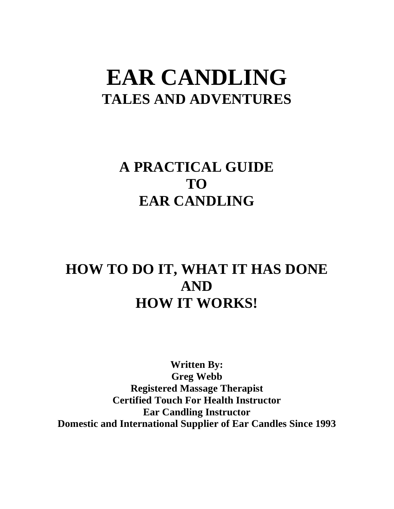# **EAR CANDLING TALES AND ADVENTURES**

## **A PRACTICAL GUIDE TO EAR CANDLING**

## **HOW TO DO IT, WHAT IT HAS DONE AND HOW IT WORKS!**

**Written By: Greg Webb Registered Massage Therapist Certified Touch For Health Instructor Ear Candling Instructor Domestic and International Supplier of Ear Candles Since 1993**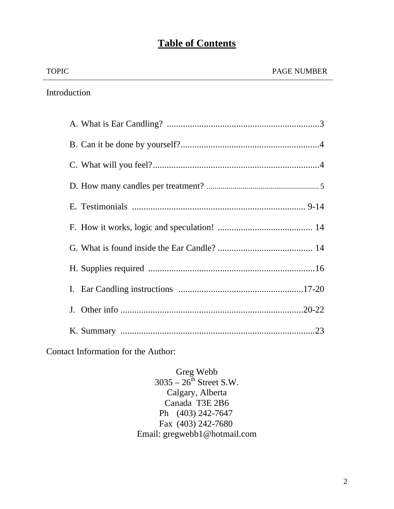### **Table of Contents**

|  | <b>TOPIC</b> | <b>PAGE NUMBER</b> |
|--|--------------|--------------------|
|--|--------------|--------------------|

Introduction

Contact Information for the Author:

Greg Webb  $3035 - 26^{th}$  Street S.W. Calgary, Alberta Canada T3E 2B6 Ph (403) 242-7647 Fax (403) 242-7680 Email: gregwebb1@hotmail.com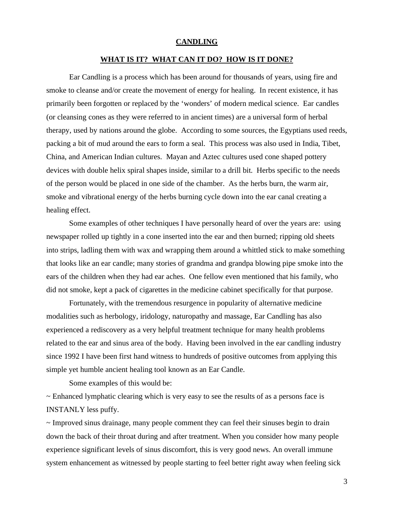#### **CANDLING**

#### **WHAT IS IT? WHAT CAN IT DO? HOW IS IT DONE?**

 Ear Candling is a process which has been around for thousands of years, using fire and smoke to cleanse and/or create the movement of energy for healing. In recent existence, it has primarily been forgotten or replaced by the 'wonders' of modern medical science. Ear candles (or cleansing cones as they were referred to in ancient times) are a universal form of herbal therapy, used by nations around the globe. According to some sources, the Egyptians used reeds, packing a bit of mud around the ears to form a seal. This process was also used in India, Tibet, China, and American Indian cultures. Mayan and Aztec cultures used cone shaped pottery devices with double helix spiral shapes inside, similar to a drill bit. Herbs specific to the needs of the person would be placed in one side of the chamber. As the herbs burn, the warm air, smoke and vibrational energy of the herbs burning cycle down into the ear canal creating a healing effect.

 Some examples of other techniques I have personally heard of over the years are: using newspaper rolled up tightly in a cone inserted into the ear and then burned; ripping old sheets into strips, ladling them with wax and wrapping them around a whittled stick to make something that looks like an ear candle; many stories of grandma and grandpa blowing pipe smoke into the ears of the children when they had ear aches. One fellow even mentioned that his family, who did not smoke, kept a pack of cigarettes in the medicine cabinet specifically for that purpose.

 Fortunately, with the tremendous resurgence in popularity of alternative medicine modalities such as herbology, iridology, naturopathy and massage, Ear Candling has also experienced a rediscovery as a very helpful treatment technique for many health problems related to the ear and sinus area of the body. Having been involved in the ear candling industry since 1992 I have been first hand witness to hundreds of positive outcomes from applying this simple yet humble ancient healing tool known as an Ear Candle.

Some examples of this would be:

 $\sim$  Enhanced lymphatic clearing which is very easy to see the results of as a persons face is INSTANLY less puffy.

~ Improved sinus drainage, many people comment they can feel their sinuses begin to drain down the back of their throat during and after treatment. When you consider how many people experience significant levels of sinus discomfort, this is very good news. An overall immune system enhancement as witnessed by people starting to feel better right away when feeling sick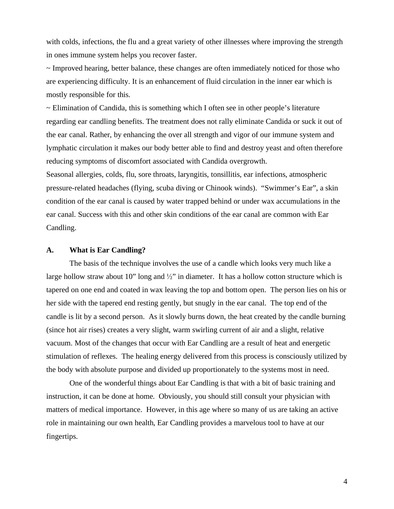with colds, infections, the flu and a great variety of other illnesses where improving the strength in ones immune system helps you recover faster.

 $\sim$  Improved hearing, better balance, these changes are often immediately noticed for those who are experiencing difficulty. It is an enhancement of fluid circulation in the inner ear which is mostly responsible for this.

~ Elimination of Candida, this is something which I often see in other people's literature regarding ear candling benefits. The treatment does not rally eliminate Candida or suck it out of the ear canal. Rather, by enhancing the over all strength and vigor of our immune system and lymphatic circulation it makes our body better able to find and destroy yeast and often therefore reducing symptoms of discomfort associated with Candida overgrowth.

Seasonal allergies, colds, flu, sore throats, laryngitis, tonsillitis, ear infections, atmospheric pressure-related headaches (flying, scuba diving or Chinook winds). "Swimmer's Ear", a skin condition of the ear canal is caused by water trapped behind or under wax accumulations in the ear canal. Success with this and other skin conditions of the ear canal are common with Ear Candling.

#### **A. What is Ear Candling?**

The basis of the technique involves the use of a candle which looks very much like a large hollow straw about 10" long and  $\frac{1}{2}$ " in diameter. It has a hollow cotton structure which is tapered on one end and coated in wax leaving the top and bottom open. The person lies on his or her side with the tapered end resting gently, but snugly in the ear canal. The top end of the candle is lit by a second person. As it slowly burns down, the heat created by the candle burning (since hot air rises) creates a very slight, warm swirling current of air and a slight, relative vacuum. Most of the changes that occur with Ear Candling are a result of heat and energetic stimulation of reflexes. The healing energy delivered from this process is consciously utilized by the body with absolute purpose and divided up proportionately to the systems most in need.

One of the wonderful things about Ear Candling is that with a bit of basic training and instruction, it can be done at home. Obviously, you should still consult your physician with matters of medical importance. However, in this age where so many of us are taking an active role in maintaining our own health, Ear Candling provides a marvelous tool to have at our fingertips.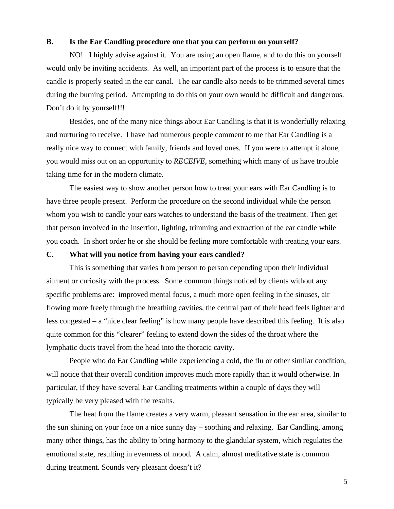#### **B. Is the Ear Candling procedure one that you can perform on yourself?**

NO! I highly advise against it. You are using an open flame, and to do this on yourself would only be inviting accidents. As well, an important part of the process is to ensure that the candle is properly seated in the ear canal. The ear candle also needs to be trimmed several times during the burning period. Attempting to do this on your own would be difficult and dangerous. Don't do it by yourself!!!

Besides, one of the many nice things about Ear Candling is that it is wonderfully relaxing and nurturing to receive. I have had numerous people comment to me that Ear Candling is a really nice way to connect with family, friends and loved ones. If you were to attempt it alone, you would miss out on an opportunity to *RECEIVE*, something which many of us have trouble taking time for in the modern climate.

The easiest way to show another person how to treat your ears with Ear Candling is to have three people present. Perform the procedure on the second individual while the person whom you wish to candle your ears watches to understand the basis of the treatment. Then get that person involved in the insertion, lighting, trimming and extraction of the ear candle while you coach. In short order he or she should be feeling more comfortable with treating your ears.

#### **C. What will you notice from having your ears candled?**

This is something that varies from person to person depending upon their individual ailment or curiosity with the process. Some common things noticed by clients without any specific problems are: improved mental focus, a much more open feeling in the sinuses, air flowing more freely through the breathing cavities, the central part of their head feels lighter and less congested – a "nice clear feeling" is how many people have described this feeling. It is also quite common for this "clearer" feeling to extend down the sides of the throat where the lymphatic ducts travel from the head into the thoracic cavity.

People who do Ear Candling while experiencing a cold, the flu or other similar condition, will notice that their overall condition improves much more rapidly than it would otherwise. In particular, if they have several Ear Candling treatments within a couple of days they will typically be very pleased with the results.

The heat from the flame creates a very warm, pleasant sensation in the ear area, similar to the sun shining on your face on a nice sunny day – soothing and relaxing. Ear Candling, among many other things, has the ability to bring harmony to the glandular system, which regulates the emotional state, resulting in evenness of mood. A calm, almost meditative state is common during treatment. Sounds very pleasant doesn't it?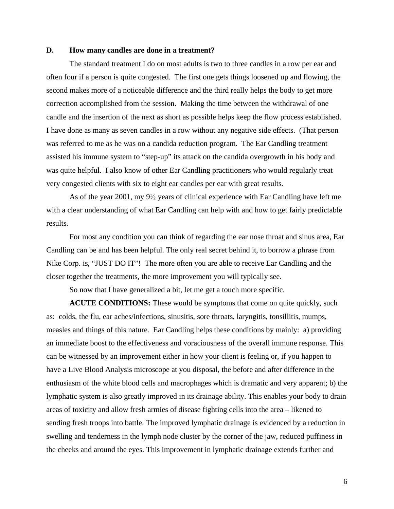#### **D. How many candles are done in a treatment?**

The standard treatment I do on most adults is two to three candles in a row per ear and often four if a person is quite congested. The first one gets things loosened up and flowing, the second makes more of a noticeable difference and the third really helps the body to get more correction accomplished from the session. Making the time between the withdrawal of one candle and the insertion of the next as short as possible helps keep the flow process established. I have done as many as seven candles in a row without any negative side effects. (That person was referred to me as he was on a candida reduction program. The Ear Candling treatment assisted his immune system to "step-up" its attack on the candida overgrowth in his body and was quite helpful. I also know of other Ear Candling practitioners who would regularly treat very congested clients with six to eight ear candles per ear with great results.

As of the year 2001, my  $9\frac{1}{2}$  years of clinical experience with Ear Candling have left me with a clear understanding of what Ear Candling can help with and how to get fairly predictable results.

For most any condition you can think of regarding the ear nose throat and sinus area, Ear Candling can be and has been helpful. The only real secret behind it, to borrow a phrase from Nike Corp. is, "JUST DO IT"! The more often you are able to receive Ear Candling and the closer together the treatments, the more improvement you will typically see.

So now that I have generalized a bit, let me get a touch more specific.

**ACUTE CONDITIONS:** These would be symptoms that come on quite quickly, such as: colds, the flu, ear aches/infections, sinusitis, sore throats, laryngitis, tonsillitis, mumps, measles and things of this nature. Ear Candling helps these conditions by mainly: a) providing an immediate boost to the effectiveness and voraciousness of the overall immune response. This can be witnessed by an improvement either in how your client is feeling or, if you happen to have a Live Blood Analysis microscope at you disposal, the before and after difference in the enthusiasm of the white blood cells and macrophages which is dramatic and very apparent; b) the lymphatic system is also greatly improved in its drainage ability. This enables your body to drain areas of toxicity and allow fresh armies of disease fighting cells into the area – likened to sending fresh troops into battle. The improved lymphatic drainage is evidenced by a reduction in swelling and tenderness in the lymph node cluster by the corner of the jaw, reduced puffiness in the cheeks and around the eyes. This improvement in lymphatic drainage extends further and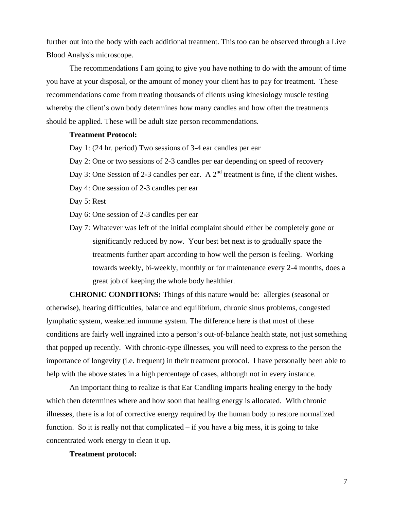further out into the body with each additional treatment. This too can be observed through a Live Blood Analysis microscope.

The recommendations I am going to give you have nothing to do with the amount of time you have at your disposal, or the amount of money your client has to pay for treatment. These recommendations come from treating thousands of clients using kinesiology muscle testing whereby the client's own body determines how many candles and how often the treatments should be applied. These will be adult size person recommendations.

#### **Treatment Protocol:**

- Day 1: (24 hr. period) Two sessions of 3-4 ear candles per ear
- Day 2: One or two sessions of 2-3 candles per ear depending on speed of recovery
- Day 3: One Session of 2-3 candles per ear. A  $2^{nd}$  treatment is fine, if the client wishes.
- Day 4: One session of 2-3 candles per ear

Day 5: Rest

- Day 6: One session of 2-3 candles per ear
- Day 7: Whatever was left of the initial complaint should either be completely gone or significantly reduced by now. Your best bet next is to gradually space the treatments further apart according to how well the person is feeling. Working towards weekly, bi-weekly, monthly or for maintenance every 2-4 months, does a great job of keeping the whole body healthier.

**CHRONIC CONDITIONS:** Things of this nature would be: allergies (seasonal or otherwise), hearing difficulties, balance and equilibrium, chronic sinus problems, congested lymphatic system, weakened immune system. The difference here is that most of these conditions are fairly well ingrained into a person's out-of-balance health state, not just something that popped up recently. With chronic-type illnesses, you will need to express to the person the importance of longevity (i.e. frequent) in their treatment protocol. I have personally been able to help with the above states in a high percentage of cases, although not in every instance.

An important thing to realize is that Ear Candling imparts healing energy to the body which then determines where and how soon that healing energy is allocated. With chronic illnesses, there is a lot of corrective energy required by the human body to restore normalized function. So it is really not that complicated  $-$  if you have a big mess, it is going to take concentrated work energy to clean it up.

#### **Treatment protocol:**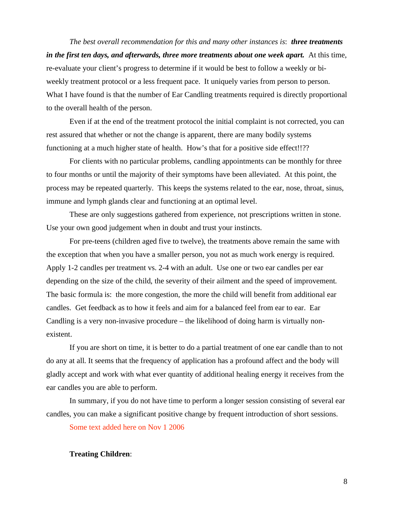*The best overall recommendation for this and many other instances is*: *three treatments*  in the first ten days, and afterwards, three more treatments about one week apart. At this time, re-evaluate your client's progress to determine if it would be best to follow a weekly or biweekly treatment protocol or a less frequent pace. It uniquely varies from person to person. What I have found is that the number of Ear Candling treatments required is directly proportional to the overall health of the person.

Even if at the end of the treatment protocol the initial complaint is not corrected, you can rest assured that whether or not the change is apparent, there are many bodily systems functioning at a much higher state of health. How's that for a positive side effect!!??

For clients with no particular problems, candling appointments can be monthly for three to four months or until the majority of their symptoms have been alleviated. At this point, the process may be repeated quarterly. This keeps the systems related to the ear, nose, throat, sinus, immune and lymph glands clear and functioning at an optimal level.

These are only suggestions gathered from experience, not prescriptions written in stone. Use your own good judgement when in doubt and trust your instincts.

For pre-teens (children aged five to twelve), the treatments above remain the same with the exception that when you have a smaller person, you not as much work energy is required. Apply 1-2 candles per treatment vs. 2-4 with an adult. Use one or two ear candles per ear depending on the size of the child, the severity of their ailment and the speed of improvement. The basic formula is: the more congestion, the more the child will benefit from additional ear candles. Get feedback as to how it feels and aim for a balanced feel from ear to ear. Ear Candling is a very non-invasive procedure – the likelihood of doing harm is virtually nonexistent.

If you are short on time, it is better to do a partial treatment of one ear candle than to not do any at all. It seems that the frequency of application has a profound affect and the body will gladly accept and work with what ever quantity of additional healing energy it receives from the ear candles you are able to perform.

In summary, if you do not have time to perform a longer session consisting of several ear candles, you can make a significant positive change by frequent introduction of short sessions.

Some text added here on Nov 1 2006

#### **Treating Children**: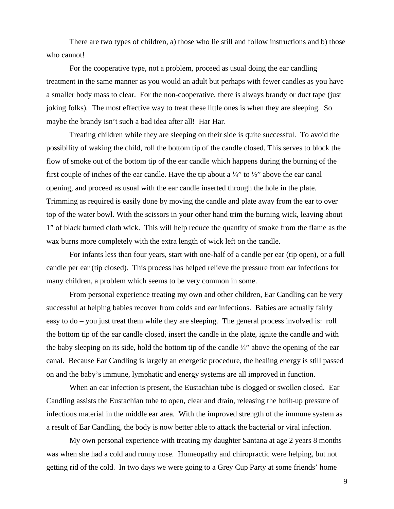There are two types of children, a) those who lie still and follow instructions and b) those who cannot!

For the cooperative type, not a problem, proceed as usual doing the ear candling treatment in the same manner as you would an adult but perhaps with fewer candles as you have a smaller body mass to clear. For the non-cooperative, there is always brandy or duct tape (just joking folks). The most effective way to treat these little ones is when they are sleeping. So maybe the brandy isn't such a bad idea after all! Har Har.

Treating children while they are sleeping on their side is quite successful. To avoid the possibility of waking the child, roll the bottom tip of the candle closed. This serves to block the flow of smoke out of the bottom tip of the ear candle which happens during the burning of the first couple of inches of the ear candle. Have the tip about a  $\frac{1}{4}$  to  $\frac{1}{2}$  above the ear canal opening, and proceed as usual with the ear candle inserted through the hole in the plate. Trimming as required is easily done by moving the candle and plate away from the ear to over top of the water bowl. With the scissors in your other hand trim the burning wick, leaving about 1" of black burned cloth wick. This will help reduce the quantity of smoke from the flame as the wax burns more completely with the extra length of wick left on the candle.

For infants less than four years, start with one-half of a candle per ear (tip open), or a full candle per ear (tip closed). This process has helped relieve the pressure from ear infections for many children, a problem which seems to be very common in some.

From personal experience treating my own and other children, Ear Candling can be very successful at helping babies recover from colds and ear infections. Babies are actually fairly easy to do – you just treat them while they are sleeping. The general process involved is: roll the bottom tip of the ear candle closed, insert the candle in the plate, ignite the candle and with the baby sleeping on its side, hold the bottom tip of the candle  $\frac{1}{4}$ " above the opening of the ear canal. Because Ear Candling is largely an energetic procedure, the healing energy is still passed on and the baby's immune, lymphatic and energy systems are all improved in function.

When an ear infection is present, the Eustachian tube is clogged or swollen closed. Ear Candling assists the Eustachian tube to open, clear and drain, releasing the built-up pressure of infectious material in the middle ear area. With the improved strength of the immune system as a result of Ear Candling, the body is now better able to attack the bacterial or viral infection.

My own personal experience with treating my daughter Santana at age 2 years 8 months was when she had a cold and runny nose. Homeopathy and chiropractic were helping, but not getting rid of the cold. In two days we were going to a Grey Cup Party at some friends' home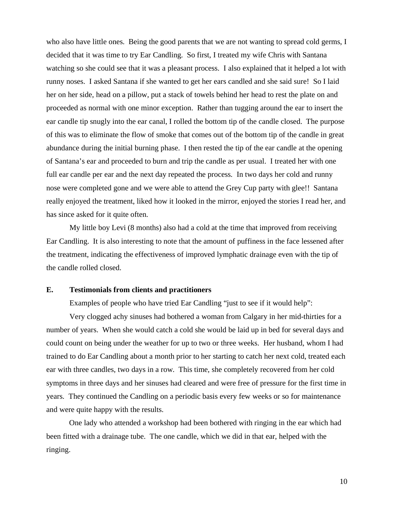who also have little ones. Being the good parents that we are not wanting to spread cold germs, I decided that it was time to try Ear Candling. So first, I treated my wife Chris with Santana watching so she could see that it was a pleasant process. I also explained that it helped a lot with runny noses. I asked Santana if she wanted to get her ears candled and she said sure! So I laid her on her side, head on a pillow, put a stack of towels behind her head to rest the plate on and proceeded as normal with one minor exception. Rather than tugging around the ear to insert the ear candle tip snugly into the ear canal, I rolled the bottom tip of the candle closed. The purpose of this was to eliminate the flow of smoke that comes out of the bottom tip of the candle in great abundance during the initial burning phase. I then rested the tip of the ear candle at the opening of Santana's ear and proceeded to burn and trip the candle as per usual. I treated her with one full ear candle per ear and the next day repeated the process. In two days her cold and runny nose were completed gone and we were able to attend the Grey Cup party with glee!! Santana really enjoyed the treatment, liked how it looked in the mirror, enjoyed the stories I read her, and has since asked for it quite often.

My little boy Levi (8 months) also had a cold at the time that improved from receiving Ear Candling. It is also interesting to note that the amount of puffiness in the face lessened after the treatment, indicating the effectiveness of improved lymphatic drainage even with the tip of the candle rolled closed.

#### **E. Testimonials from clients and practitioners**

Examples of people who have tried Ear Candling "just to see if it would help":

Very clogged achy sinuses had bothered a woman from Calgary in her mid-thirties for a number of years. When she would catch a cold she would be laid up in bed for several days and could count on being under the weather for up to two or three weeks. Her husband, whom I had trained to do Ear Candling about a month prior to her starting to catch her next cold, treated each ear with three candles, two days in a row. This time, she completely recovered from her cold symptoms in three days and her sinuses had cleared and were free of pressure for the first time in years. They continued the Candling on a periodic basis every few weeks or so for maintenance and were quite happy with the results.

 One lady who attended a workshop had been bothered with ringing in the ear which had been fitted with a drainage tube. The one candle, which we did in that ear, helped with the ringing.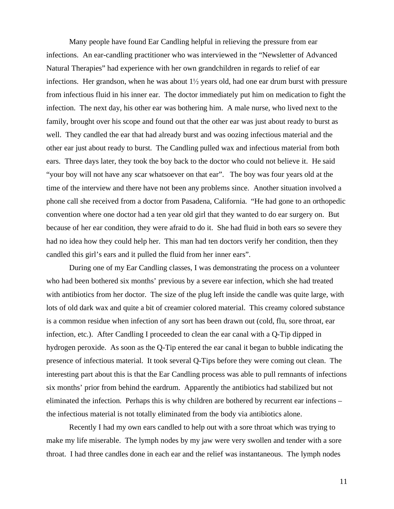Many people have found Ear Candling helpful in relieving the pressure from ear infections. An ear-candling practitioner who was interviewed in the "Newsletter of Advanced Natural Therapies" had experience with her own grandchildren in regards to relief of ear infections. Her grandson, when he was about  $1\frac{1}{2}$  years old, had one ear drum burst with pressure from infectious fluid in his inner ear. The doctor immediately put him on medication to fight the infection. The next day, his other ear was bothering him. A male nurse, who lived next to the family, brought over his scope and found out that the other ear was just about ready to burst as well. They candled the ear that had already burst and was oozing infectious material and the other ear just about ready to burst. The Candling pulled wax and infectious material from both ears. Three days later, they took the boy back to the doctor who could not believe it. He said "your boy will not have any scar whatsoever on that ear". The boy was four years old at the time of the interview and there have not been any problems since. Another situation involved a phone call she received from a doctor from Pasadena, California. "He had gone to an orthopedic convention where one doctor had a ten year old girl that they wanted to do ear surgery on. But because of her ear condition, they were afraid to do it. She had fluid in both ears so severe they had no idea how they could help her. This man had ten doctors verify her condition, then they candled this girl's ears and it pulled the fluid from her inner ears".

 During one of my Ear Candling classes, I was demonstrating the process on a volunteer who had been bothered six months' previous by a severe ear infection, which she had treated with antibiotics from her doctor. The size of the plug left inside the candle was quite large, with lots of old dark wax and quite a bit of creamier colored material. This creamy colored substance is a common residue when infection of any sort has been drawn out (cold, flu, sore throat, ear infection, etc.). After Candling I proceeded to clean the ear canal with a Q-Tip dipped in hydrogen peroxide. As soon as the Q-Tip entered the ear canal it began to bubble indicating the presence of infectious material. It took several Q-Tips before they were coming out clean. The interesting part about this is that the Ear Candling process was able to pull remnants of infections six months' prior from behind the eardrum. Apparently the antibiotics had stabilized but not eliminated the infection. Perhaps this is why children are bothered by recurrent ear infections – the infectious material is not totally eliminated from the body via antibiotics alone.

 Recently I had my own ears candled to help out with a sore throat which was trying to make my life miserable. The lymph nodes by my jaw were very swollen and tender with a sore throat. I had three candles done in each ear and the relief was instantaneous. The lymph nodes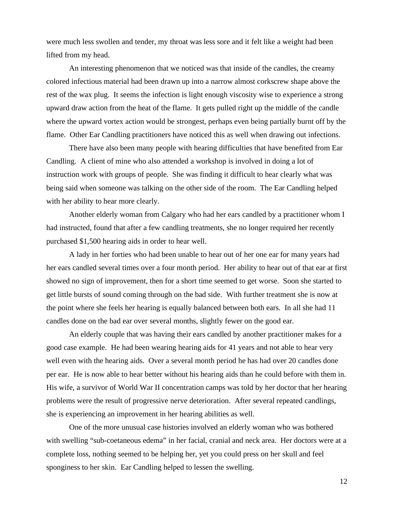were much less swollen and tender, my throat was less sore and it felt like a weight had been lifted from my head.

 An interesting phenomenon that we noticed was that inside of the candles, the creamy colored infectious material had been drawn up into a narrow almost corkscrew shape above the rest of the wax plug. It seems the infection is light enough viscosity wise to experience a strong upward draw action from the heat of the flame. It gets pulled right up the middle of the candle where the upward vortex action would be strongest, perhaps even being partially burnt off by the flame. Other Ear Candling practitioners have noticed this as well when drawing out infections.

 There have also been many people with hearing difficulties that have benefited from Ear Candling. A client of mine who also attended a workshop is involved in doing a lot of instruction work with groups of people. She was finding it difficult to hear clearly what was being said when someone was talking on the other side of the room. The Ear Candling helped with her ability to hear more clearly.

 Another elderly woman from Calgary who had her ears candled by a practitioner whom I had instructed, found that after a few candling treatments, she no longer required her recently purchased \$1,500 hearing aids in order to hear well.

 A lady in her forties who had been unable to hear out of her one ear for many years had her ears candled several times over a four month period. Her ability to hear out of that ear at first showed no sign of improvement, then for a short time seemed to get worse. Soon she started to get little bursts of sound coming through on the bad side. With further treatment she is now at the point where she feels her hearing is equally balanced between both ears. In all she had 11 candles done on the bad ear over several months, slightly fewer on the good ear.

 An elderly couple that was having their ears candled by another practitioner makes for a good case example. He had been wearing hearing aids for 41 years and not able to hear very well even with the hearing aids. Over a several month period he has had over 20 candles done per ear. He is now able to hear better without his hearing aids than he could before with them in. His wife, a survivor of World War II concentration camps was told by her doctor that her hearing problems were the result of progressive nerve deterioration. After several repeated candlings, she is experiencing an improvement in her hearing abilities as well.

 One of the more unusual case histories involved an elderly woman who was bothered with swelling "sub-coetaneous edema" in her facial, cranial and neck area. Her doctors were at a complete loss, nothing seemed to be helping her, yet you could press on her skull and feel sponginess to her skin. Ear Candling helped to lessen the swelling.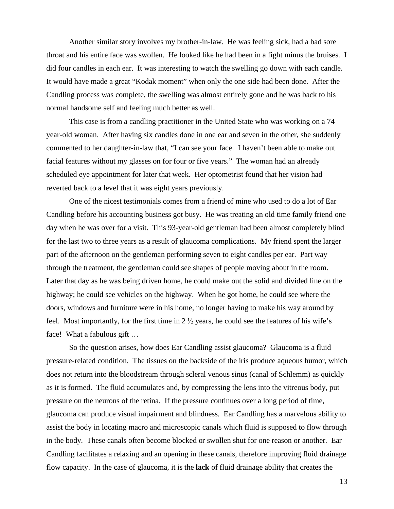Another similar story involves my brother-in-law. He was feeling sick, had a bad sore throat and his entire face was swollen. He looked like he had been in a fight minus the bruises. I did four candles in each ear. It was interesting to watch the swelling go down with each candle. It would have made a great "Kodak moment" when only the one side had been done. After the Candling process was complete, the swelling was almost entirely gone and he was back to his normal handsome self and feeling much better as well.

 This case is from a candling practitioner in the United State who was working on a 74 year-old woman. After having six candles done in one ear and seven in the other, she suddenly commented to her daughter-in-law that, "I can see your face. I haven't been able to make out facial features without my glasses on for four or five years." The woman had an already scheduled eye appointment for later that week. Her optometrist found that her vision had reverted back to a level that it was eight years previously.

 One of the nicest testimonials comes from a friend of mine who used to do a lot of Ear Candling before his accounting business got busy. He was treating an old time family friend one day when he was over for a visit. This 93-year-old gentleman had been almost completely blind for the last two to three years as a result of glaucoma complications. My friend spent the larger part of the afternoon on the gentleman performing seven to eight candles per ear. Part way through the treatment, the gentleman could see shapes of people moving about in the room. Later that day as he was being driven home, he could make out the solid and divided line on the highway; he could see vehicles on the highway. When he got home, he could see where the doors, windows and furniture were in his home, no longer having to make his way around by feel. Most importantly, for the first time in  $2\frac{1}{2}$  years, he could see the features of his wife's face! What a fabulous gift …

 So the question arises, how does Ear Candling assist glaucoma? Glaucoma is a fluid pressure-related condition. The tissues on the backside of the iris produce aqueous humor, which does not return into the bloodstream through scleral venous sinus (canal of Schlemm) as quickly as it is formed. The fluid accumulates and, by compressing the lens into the vitreous body, put pressure on the neurons of the retina. If the pressure continues over a long period of time, glaucoma can produce visual impairment and blindness. Ear Candling has a marvelous ability to assist the body in locating macro and microscopic canals which fluid is supposed to flow through in the body. These canals often become blocked or swollen shut for one reason or another. Ear Candling facilitates a relaxing and an opening in these canals, therefore improving fluid drainage flow capacity. In the case of glaucoma, it is the **lack** of fluid drainage ability that creates the

13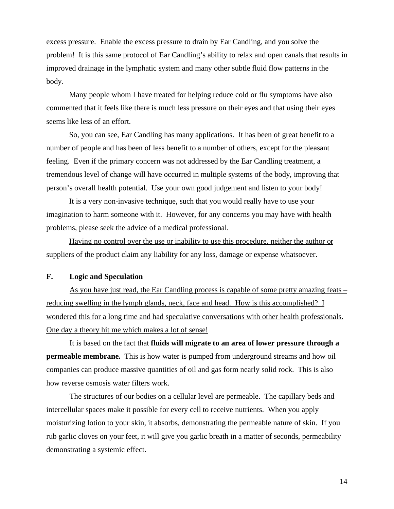excess pressure. Enable the excess pressure to drain by Ear Candling, and you solve the problem! It is this same protocol of Ear Candling's ability to relax and open canals that results in improved drainage in the lymphatic system and many other subtle fluid flow patterns in the body.

 Many people whom I have treated for helping reduce cold or flu symptoms have also commented that it feels like there is much less pressure on their eyes and that using their eyes seems like less of an effort.

 So, you can see, Ear Candling has many applications. It has been of great benefit to a number of people and has been of less benefit to a number of others, except for the pleasant feeling. Even if the primary concern was not addressed by the Ear Candling treatment, a tremendous level of change will have occurred in multiple systems of the body, improving that person's overall health potential. Use your own good judgement and listen to your body!

 It is a very non-invasive technique, such that you would really have to use your imagination to harm someone with it. However, for any concerns you may have with health problems, please seek the advice of a medical professional.

 Having no control over the use or inability to use this procedure, neither the author or suppliers of the product claim any liability for any loss, damage or expense whatsoever.

#### **F. Logic and Speculation**

As you have just read, the Ear Candling process is capable of some pretty amazing feats – reducing swelling in the lymph glands, neck, face and head. How is this accomplished? I wondered this for a long time and had speculative conversations with other health professionals. One day a theory hit me which makes a lot of sense!

It is based on the fact that **fluids will migrate to an area of lower pressure through a permeable membrane.** This is how water is pumped from underground streams and how oil companies can produce massive quantities of oil and gas form nearly solid rock. This is also how reverse osmosis water filters work.

The structures of our bodies on a cellular level are permeable. The capillary beds and intercellular spaces make it possible for every cell to receive nutrients. When you apply moisturizing lotion to your skin, it absorbs, demonstrating the permeable nature of skin. If you rub garlic cloves on your feet, it will give you garlic breath in a matter of seconds, permeability demonstrating a systemic effect.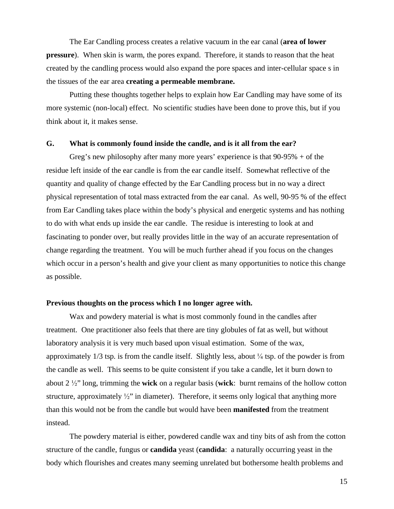The Ear Candling process creates a relative vacuum in the ear canal (**area of lower pressure**). When skin is warm, the pores expand. Therefore, it stands to reason that the heat created by the candling process would also expand the pore spaces and inter-cellular space s in the tissues of the ear area **creating a permeable membrane.**

Putting these thoughts together helps to explain how Ear Candling may have some of its more systemic (non-local) effect. No scientific studies have been done to prove this, but if you think about it, it makes sense.

#### **G. What is commonly found inside the candle, and is it all from the ear?**

Greg's new philosophy after many more years' experience is that  $90-95% + of$  the residue left inside of the ear candle is from the ear candle itself. Somewhat reflective of the quantity and quality of change effected by the Ear Candling process but in no way a direct physical representation of total mass extracted from the ear canal. As well, 90-95 % of the effect from Ear Candling takes place within the body's physical and energetic systems and has nothing to do with what ends up inside the ear candle. The residue is interesting to look at and fascinating to ponder over, but really provides little in the way of an accurate representation of change regarding the treatment. You will be much further ahead if you focus on the changes which occur in a person's health and give your client as many opportunities to notice this change as possible.

#### **Previous thoughts on the process which I no longer agree with.**

Wax and powdery material is what is most commonly found in the candles after treatment. One practitioner also feels that there are tiny globules of fat as well, but without laboratory analysis it is very much based upon visual estimation. Some of the wax, approximately  $1/3$  tsp. is from the candle itself. Slightly less, about  $\frac{1}{4}$  tsp. of the powder is from the candle as well. This seems to be quite consistent if you take a candle, let it burn down to about  $2 \frac{1}{2}$  long, trimming the **wick** on a regular basis (**wick**: burnt remains of the hollow cotton structure, approximately  $\frac{1}{2}$  in diameter). Therefore, it seems only logical that anything more than this would not be from the candle but would have been **manifested** from the treatment instead.

The powdery material is either, powdered candle wax and tiny bits of ash from the cotton structure of the candle, fungus or **candida** yeast (**candida**: a naturally occurring yeast in the body which flourishes and creates many seeming unrelated but bothersome health problems and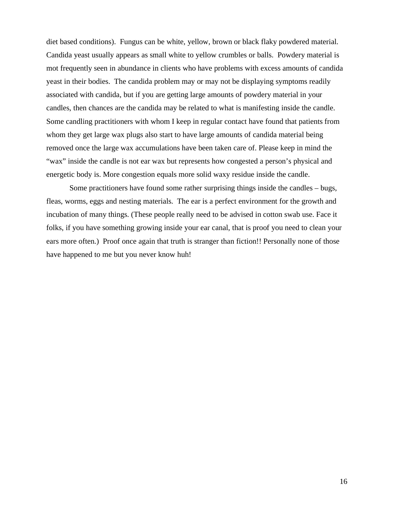diet based conditions). Fungus can be white, yellow, brown or black flaky powdered material. Candida yeast usually appears as small white to yellow crumbles or balls. Powdery material is mot frequently seen in abundance in clients who have problems with excess amounts of candida yeast in their bodies. The candida problem may or may not be displaying symptoms readily associated with candida, but if you are getting large amounts of powdery material in your candles, then chances are the candida may be related to what is manifesting inside the candle. Some candling practitioners with whom I keep in regular contact have found that patients from whom they get large wax plugs also start to have large amounts of candida material being removed once the large wax accumulations have been taken care of. Please keep in mind the "wax" inside the candle is not ear wax but represents how congested a person's physical and energetic body is. More congestion equals more solid waxy residue inside the candle.

Some practitioners have found some rather surprising things inside the candles – bugs, fleas, worms, eggs and nesting materials. The ear is a perfect environment for the growth and incubation of many things. (These people really need to be advised in cotton swab use. Face it folks, if you have something growing inside your ear canal, that is proof you need to clean your ears more often.) Proof once again that truth is stranger than fiction!! Personally none of those have happened to me but you never know huh!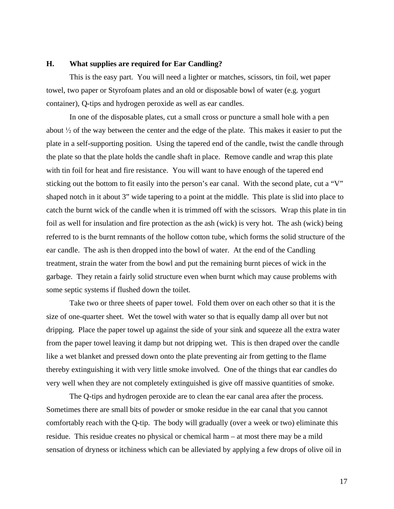#### **H. What supplies are required for Ear Candling?**

This is the easy part. You will need a lighter or matches, scissors, tin foil, wet paper towel, two paper or Styrofoam plates and an old or disposable bowl of water (e.g. yogurt container), Q-tips and hydrogen peroxide as well as ear candles.

In one of the disposable plates, cut a small cross or puncture a small hole with a pen about  $\frac{1}{2}$  of the way between the center and the edge of the plate. This makes it easier to put the plate in a self-supporting position. Using the tapered end of the candle, twist the candle through the plate so that the plate holds the candle shaft in place. Remove candle and wrap this plate with tin foil for heat and fire resistance. You will want to have enough of the tapered end sticking out the bottom to fit easily into the person's ear canal. With the second plate, cut a "V" shaped notch in it about 3" wide tapering to a point at the middle. This plate is slid into place to catch the burnt wick of the candle when it is trimmed off with the scissors. Wrap this plate in tin foil as well for insulation and fire protection as the ash (wick) is very hot. The ash (wick) being referred to is the burnt remnants of the hollow cotton tube, which forms the solid structure of the ear candle. The ash is then dropped into the bowl of water. At the end of the Candling treatment, strain the water from the bowl and put the remaining burnt pieces of wick in the garbage. They retain a fairly solid structure even when burnt which may cause problems with some septic systems if flushed down the toilet.

Take two or three sheets of paper towel. Fold them over on each other so that it is the size of one-quarter sheet. Wet the towel with water so that is equally damp all over but not dripping. Place the paper towel up against the side of your sink and squeeze all the extra water from the paper towel leaving it damp but not dripping wet. This is then draped over the candle like a wet blanket and pressed down onto the plate preventing air from getting to the flame thereby extinguishing it with very little smoke involved. One of the things that ear candles do very well when they are not completely extinguished is give off massive quantities of smoke.

The Q-tips and hydrogen peroxide are to clean the ear canal area after the process. Sometimes there are small bits of powder or smoke residue in the ear canal that you cannot comfortably reach with the Q-tip. The body will gradually (over a week or two) eliminate this residue. This residue creates no physical or chemical harm – at most there may be a mild sensation of dryness or itchiness which can be alleviated by applying a few drops of olive oil in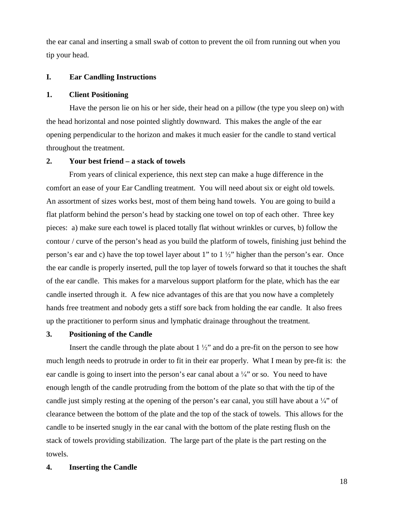the ear canal and inserting a small swab of cotton to prevent the oil from running out when you tip your head.

#### **I. Ear Candling Instructions**

#### **1. Client Positioning**

Have the person lie on his or her side, their head on a pillow (the type you sleep on) with the head horizontal and nose pointed slightly downward. This makes the angle of the ear opening perpendicular to the horizon and makes it much easier for the candle to stand vertical throughout the treatment.

#### **2. Your best friend – a stack of towels**

From years of clinical experience, this next step can make a huge difference in the comfort an ease of your Ear Candling treatment. You will need about six or eight old towels. An assortment of sizes works best, most of them being hand towels. You are going to build a flat platform behind the person's head by stacking one towel on top of each other. Three key pieces: a) make sure each towel is placed totally flat without wrinkles or curves, b) follow the contour / curve of the person's head as you build the platform of towels, finishing just behind the person's ear and c) have the top towel layer about 1" to  $1\frac{1}{2}$ " higher than the person's ear. Once the ear candle is properly inserted, pull the top layer of towels forward so that it touches the shaft of the ear candle. This makes for a marvelous support platform for the plate, which has the ear candle inserted through it. A few nice advantages of this are that you now have a completely hands free treatment and nobody gets a stiff sore back from holding the ear candle. It also frees up the practitioner to perform sinus and lymphatic drainage throughout the treatment.

#### **3. Positioning of the Candle**

Insert the candle through the plate about  $1\frac{1}{2}$  and do a pre-fit on the person to see how much length needs to protrude in order to fit in their ear properly. What I mean by pre-fit is: the ear candle is going to insert into the person's ear canal about a  $\frac{1}{4}$ " or so. You need to have enough length of the candle protruding from the bottom of the plate so that with the tip of the candle just simply resting at the opening of the person's ear canal, you still have about a  $\frac{1}{4}$ " of clearance between the bottom of the plate and the top of the stack of towels. This allows for the candle to be inserted snugly in the ear canal with the bottom of the plate resting flush on the stack of towels providing stabilization. The large part of the plate is the part resting on the towels.

#### **4. Inserting the Candle**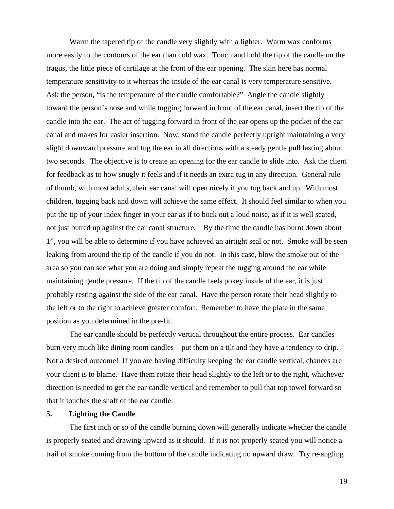Warm the tapered tip of the candle very slightly with a lighter. Warm wax conforms more easily to the contours of the ear than cold wax. Touch and hold the tip of the candle on the tragus, the little piece of cartilage at the front of the ear opening. The skin here has normal temperature sensitivity to it whereas the inside of the ear canal is very temperature sensitive. Ask the person, "is the temperature of the candle comfortable?" Angle the candle slightly toward the person's nose and while tugging forward in front of the ear canal, insert the tip of the candle into the ear. The act of tugging forward in front of the ear opens up the pocket of the ear canal and makes for easier insertion. Now, stand the candle perfectly upright maintaining a very slight downward pressure and tug the ear in all directions with a steady gentle pull lasting about two seconds. The objective is to create an opening for the ear candle to slide into. Ask the client for feedback as to how snugly it feels and if it needs an extra tug in any direction. General rule of thumb, with most adults, their ear canal will open nicely if you tug back and up. With most children, tugging back and down will achieve the same effect. It should feel similar to when you put the tip of your index finger in your ear as if to bock out a loud noise, as if it is well seated, not just butted up against the ear canal structure. By the time the candle has burnt down about 1", you will be able to determine if you have achieved an airtight seal or not. Smoke will be seen leaking from around the tip of the candle if you do not. In this case, blow the smoke out of the area so you can see what you are doing and simply repeat the tugging around the ear while maintaining gentle pressure. If the tip of the candle feels pokey inside of the ear, it is just probably resting against the side of the ear canal. Have the person rotate their head slightly to the left or to the right to achieve greater comfort. Remember to have the plate in the same position as you determined in the pre-fit.

The ear candle should be perfectly vertical throughout the entire process. Ear candles burn very much like dining room candles – put them on a tilt and they have a tendency to drip. Not a desired outcome! If you are having difficulty keeping the ear candle vertical, chances are your client is to blame. Have them rotate their head slightly to the left or to the right, whichever direction is needed to get the ear candle vertical and remember to pull that top towel forward so that it touches the shaft of the ear candle.

#### **5. Lighting the Candle**

The first inch or so of the candle burning down will generally indicate whether the candle is properly seated and drawing upward as it should. If it is not properly seated you will notice a trail of smoke coming from the bottom of the candle indicating no upward draw. Try re-angling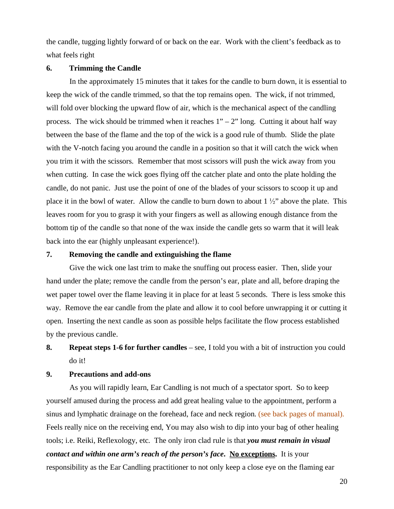the candle, tugging lightly forward of or back on the ear. Work with the client's feedback as to what feels right

#### **6. Trimming the Candle**

In the approximately 15 minutes that it takes for the candle to burn down, it is essential to keep the wick of the candle trimmed, so that the top remains open. The wick, if not trimmed, will fold over blocking the upward flow of air, which is the mechanical aspect of the candling process. The wick should be trimmed when it reaches  $1" - 2"$  long. Cutting it about half way between the base of the flame and the top of the wick is a good rule of thumb. Slide the plate with the V-notch facing you around the candle in a position so that it will catch the wick when you trim it with the scissors. Remember that most scissors will push the wick away from you when cutting. In case the wick goes flying off the catcher plate and onto the plate holding the candle, do not panic. Just use the point of one of the blades of your scissors to scoop it up and place it in the bowl of water. Allow the candle to burn down to about  $1\frac{1}{2}$  above the plate. This leaves room for you to grasp it with your fingers as well as allowing enough distance from the bottom tip of the candle so that none of the wax inside the candle gets so warm that it will leak back into the ear (highly unpleasant experience!).

#### **7. Removing the candle and extinguishing the flame**

Give the wick one last trim to make the snuffing out process easier. Then, slide your hand under the plate; remove the candle from the person's ear, plate and all, before draping the wet paper towel over the flame leaving it in place for at least 5 seconds. There is less smoke this way. Remove the ear candle from the plate and allow it to cool before unwrapping it or cutting it open. Inserting the next candle as soon as possible helps facilitate the flow process established by the previous candle.

### **8. Repeat steps 1-6 for further candles** – see, I told you with a bit of instruction you could do it!

#### **9. Precautions and add-ons**

As you will rapidly learn, Ear Candling is not much of a spectator sport. So to keep yourself amused during the process and add great healing value to the appointment, perform a sinus and lymphatic drainage on the forehead, face and neck region. (see back pages of manual). Feels really nice on the receiving end, You may also wish to dip into your bag of other healing tools; i.e. Reiki, Reflexology, etc. The only iron clad rule is that *you must remain in visual contact and within one arm's reach of the person's face***. No exceptions.** It is your responsibility as the Ear Candling practitioner to not only keep a close eye on the flaming ear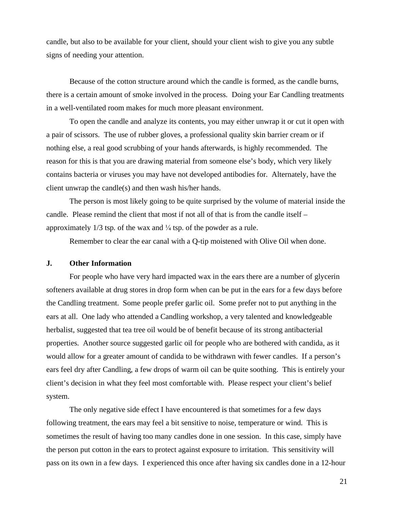candle, but also to be available for your client, should your client wish to give you any subtle signs of needing your attention.

Because of the cotton structure around which the candle is formed, as the candle burns, there is a certain amount of smoke involved in the process. Doing your Ear Candling treatments in a well-ventilated room makes for much more pleasant environment.

To open the candle and analyze its contents, you may either unwrap it or cut it open with a pair of scissors. The use of rubber gloves, a professional quality skin barrier cream or if nothing else, a real good scrubbing of your hands afterwards, is highly recommended. The reason for this is that you are drawing material from someone else's body, which very likely contains bacteria or viruses you may have not developed antibodies for. Alternately, have the client unwrap the candle(s) and then wash his/her hands.

The person is most likely going to be quite surprised by the volume of material inside the candle. Please remind the client that most if not all of that is from the candle itself – approximately  $1/3$  tsp. of the wax and  $\frac{1}{4}$  tsp. of the powder as a rule.

Remember to clear the ear canal with a Q-tip moistened with Olive Oil when done.

#### **J. Other Information**

For people who have very hard impacted wax in the ears there are a number of glycerin softeners available at drug stores in drop form when can be put in the ears for a few days before the Candling treatment. Some people prefer garlic oil. Some prefer not to put anything in the ears at all. One lady who attended a Candling workshop, a very talented and knowledgeable herbalist, suggested that tea tree oil would be of benefit because of its strong antibacterial properties. Another source suggested garlic oil for people who are bothered with candida, as it would allow for a greater amount of candida to be withdrawn with fewer candles. If a person's ears feel dry after Candling, a few drops of warm oil can be quite soothing. This is entirely your client's decision in what they feel most comfortable with. Please respect your client's belief system.

The only negative side effect I have encountered is that sometimes for a few days following treatment, the ears may feel a bit sensitive to noise, temperature or wind. This is sometimes the result of having too many candles done in one session. In this case, simply have the person put cotton in the ears to protect against exposure to irritation. This sensitivity will pass on its own in a few days. I experienced this once after having six candles done in a 12-hour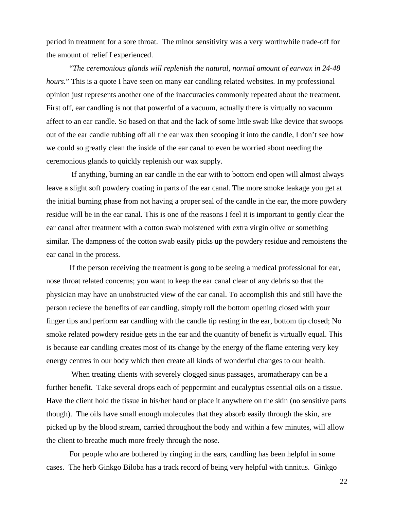period in treatment for a sore throat. The minor sensitivity was a very worthwhile trade-off for the amount of relief I experienced.

"*The ceremonious glands will replenish the natural, normal amount of earwax in 24-48 hours*." This is a quote I have seen on many ear candling related websites. In my professional opinion just represents another one of the inaccuracies commonly repeated about the treatment. First off, ear candling is not that powerful of a vacuum, actually there is virtually no vacuum affect to an ear candle. So based on that and the lack of some little swab like device that swoops out of the ear candle rubbing off all the ear wax then scooping it into the candle, I don't see how we could so greatly clean the inside of the ear canal to even be worried about needing the ceremonious glands to quickly replenish our wax supply.

 If anything, burning an ear candle in the ear with to bottom end open will almost always leave a slight soft powdery coating in parts of the ear canal. The more smoke leakage you get at the initial burning phase from not having a proper seal of the candle in the ear, the more powdery residue will be in the ear canal. This is one of the reasons I feel it is important to gently clear the ear canal after treatment with a cotton swab moistened with extra virgin olive or something similar. The dampness of the cotton swab easily picks up the powdery residue and remoistens the ear canal in the process.

If the person receiving the treatment is gong to be seeing a medical professional for ear, nose throat related concerns; you want to keep the ear canal clear of any debris so that the physician may have an unobstructed view of the ear canal. To accomplish this and still have the person recieve the benefits of ear candling, simply roll the bottom opening closed with your finger tips and perform ear candling with the candle tip resting in the ear, bottom tip closed; No smoke related powdery residue gets in the ear and the quantity of benefit is virtually equal. This is because ear candling creates most of its change by the energy of the flame entering very key energy centres in our body which then create all kinds of wonderful changes to our health.

When treating clients with severely clogged sinus passages, aromatherapy can be a further benefit. Take several drops each of peppermint and eucalyptus essential oils on a tissue. Have the client hold the tissue in his/her hand or place it anywhere on the skin (no sensitive parts though). The oils have small enough molecules that they absorb easily through the skin, are picked up by the blood stream, carried throughout the body and within a few minutes, will allow the client to breathe much more freely through the nose.

For people who are bothered by ringing in the ears, candling has been helpful in some cases. The herb Ginkgo Biloba has a track record of being very helpful with tinnitus. Ginkgo

22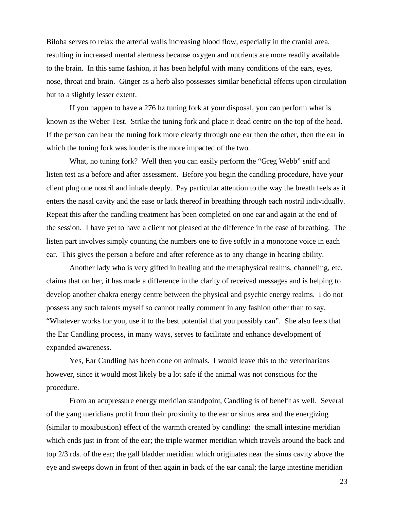Biloba serves to relax the arterial walls increasing blood flow, especially in the cranial area, resulting in increased mental alertness because oxygen and nutrients are more readily available to the brain. In this same fashion, it has been helpful with many conditions of the ears, eyes, nose, throat and brain. Ginger as a herb also possesses similar beneficial effects upon circulation but to a slightly lesser extent.

If you happen to have a 276 hz tuning fork at your disposal, you can perform what is known as the Weber Test. Strike the tuning fork and place it dead centre on the top of the head. If the person can hear the tuning fork more clearly through one ear then the other, then the ear in which the tuning fork was louder is the more impacted of the two.

What, no tuning fork? Well then you can easily perform the "Greg Webb" sniff and listen test as a before and after assessment. Before you begin the candling procedure, have your client plug one nostril and inhale deeply. Pay particular attention to the way the breath feels as it enters the nasal cavity and the ease or lack thereof in breathing through each nostril individually. Repeat this after the candling treatment has been completed on one ear and again at the end of the session. I have yet to have a client not pleased at the difference in the ease of breathing. The listen part involves simply counting the numbers one to five softly in a monotone voice in each ear. This gives the person a before and after reference as to any change in hearing ability.

Another lady who is very gifted in healing and the metaphysical realms, channeling, etc. claims that on her, it has made a difference in the clarity of received messages and is helping to develop another chakra energy centre between the physical and psychic energy realms. I do not possess any such talents myself so cannot really comment in any fashion other than to say, "Whatever works for you, use it to the best potential that you possibly can". She also feels that the Ear Candling process, in many ways, serves to facilitate and enhance development of expanded awareness.

Yes, Ear Candling has been done on animals. I would leave this to the veterinarians however, since it would most likely be a lot safe if the animal was not conscious for the procedure.

From an acupressure energy meridian standpoint, Candling is of benefit as well. Several of the yang meridians profit from their proximity to the ear or sinus area and the energizing (similar to moxibustion) effect of the warmth created by candling: the small intestine meridian which ends just in front of the ear; the triple warmer meridian which travels around the back and top 2/3 rds. of the ear; the gall bladder meridian which originates near the sinus cavity above the eye and sweeps down in front of then again in back of the ear canal; the large intestine meridian